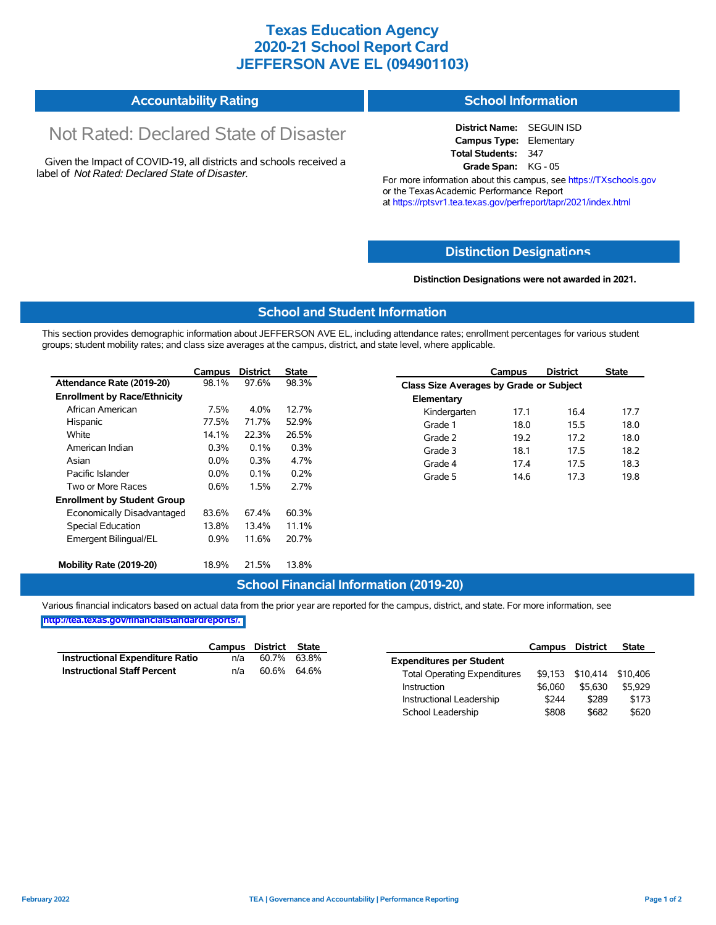## **Texas Education Agency 2020-21 School Report Card JEFFERSON AVE EL (094901103)**

| <b>Accountability Rating</b> | <b>School Information</b> |
|------------------------------|---------------------------|
|------------------------------|---------------------------|

# Not Rated: Declared State of Disaster

Given the Impact of COVID-19, all districts and schools received a label of *Not Rated: Declared State of Disaster.*

**District Name:** SEGUIN ISD **Campus Type:** Elementary **Total Students:** 347 **Grade Span:** KG - 05

For more information about this campus, see https://TXschools.gov or the Texas Academic Performance Report at https://rptsvr1.tea.texas.gov/perfreport/tapr/2021/index.html

#### **Distinction Designat[ions](https://TXschools.gov)**

**Distinction Designations were not awarded in 2021.**

School Leadership  $$808$  \$682 \$620

#### **School and Student Information**

This section provides demographic information about JEFFERSON AVE EL, including attendance rates; enrollment percentages for various student groups; student mobility rates; and class size averages at the campus, district, and state level, where applicable.

|                                     | Campus  | <b>District</b> | State |              | Campus                                  | <b>District</b> | <b>State</b> |  |  |
|-------------------------------------|---------|-----------------|-------|--------------|-----------------------------------------|-----------------|--------------|--|--|
| Attendance Rate (2019-20)           | 98.1%   | 97.6%           | 98.3% |              | Class Size Averages by Grade or Subject |                 |              |  |  |
| <b>Enrollment by Race/Ethnicity</b> |         |                 |       | Elementary   |                                         |                 |              |  |  |
| African American                    | 7.5%    | 4.0%            | 12.7% | Kindergarten | 17.1                                    | 16.4            | 17.7         |  |  |
| Hispanic                            | 77.5%   | 71.7%           | 52.9% | Grade 1      | 18.0                                    | 15.5            | 18.0         |  |  |
| White                               | 14.1%   | 22.3%           | 26.5% | Grade 2      | 19.2                                    | 17.2            | 18.0         |  |  |
| American Indian                     | 0.3%    | 0.1%            | 0.3%  | Grade 3      | 18.1                                    | 17.5            | 18.2         |  |  |
| Asian                               | $0.0\%$ | 0.3%            | 4.7%  | Grade 4      | 17.4                                    | 17.5            | 18.3         |  |  |
| Pacific Islander                    | $0.0\%$ | 0.1%            | 0.2%  | Grade 5      | 14.6                                    | 17.3            | 19.8         |  |  |
| Two or More Races                   | 0.6%    | 1.5%            | 2.7%  |              |                                         |                 |              |  |  |
| <b>Enrollment by Student Group</b>  |         |                 |       |              |                                         |                 |              |  |  |
| Economically Disadvantaged          | 83.6%   | 67.4%           | 60.3% |              |                                         |                 |              |  |  |
| Special Education                   | 13.8%   | 13.4%           | 11.1% |              |                                         |                 |              |  |  |
| Emergent Bilingual/EL               | $0.9\%$ | 11.6%           | 20.7% |              |                                         |                 |              |  |  |
|                                     |         |                 |       |              |                                         |                 |              |  |  |
| Mobility Rate (2019-20)             | 18.9%   | 21.5%           | 13.8% |              |                                         |                 |              |  |  |

#### **School Financial Information (2019-20)**

Various financial indicators based on actual data from the prior year are reported for the campus, district, and state. For more information, see

**[http://tea.texas.gov/financialstandardreports/.](http://tea.texas.gov/financialstandardreports/)**

|                                    | Campus | District | State |                                     | Campus  | <b>District</b>           | <b>State</b> |
|------------------------------------|--------|----------|-------|-------------------------------------|---------|---------------------------|--------------|
| Instructional Expenditure Ratio    | n/a    | 60.7%    | 63.8% | <b>Expenditures per Student</b>     |         |                           |              |
| <b>Instructional Staff Percent</b> | n/a    | 60.6%    | 64.6% | <b>Total Operating Expenditures</b> |         | \$9.153 \$10.414 \$10.406 |              |
|                                    |        |          |       | Instruction                         | \$6.060 | \$5.630                   | \$5.929      |
|                                    |        |          |       | Instructional Leadership            | \$244   | \$289                     | \$173        |